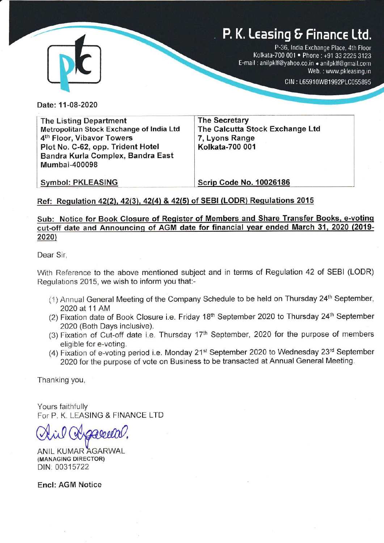# $P.$  K. Leasing  $G$  Finance Ltd.



P-36, India Exchange Place, 4th Floor Kolkata-700 001 · Phone: +91 33 2225 3123 E-mail: anilpklf@yahoo.co.in . anilpklf@gmail.com Web.: www.pkleasing.in

CIN: L65910WB1992PLC055895

Date: 11-08-2020

The Listing Department Metropolitan Stock Exchange of lndia Ltd 4th Floor, Vibavor Towers Plot No. C-62, opp. Trident Hotel Bandra Kurla Complex, Bandra East Mumbai-400098 The Secretary The Calcutta Stock Exchange Ltd 7, Lyons Range Kolkata-700 001

Symbol: PKLEASING

**Scrip Code No. 10026186** 

# Ref: Requlation 42(2). 42(3). 42(4) & 42(5) of SEBI (LODR) Requlations 2015

# Sub: Notice for Book Closure of Register of Members and Share Transfer Books, e-voting cut-off date and Announcing of AGM date for financial year ended March 31, 2020 (2019-2020)

Dear Sir,

With Reference to the above mentioned subject and in terms of Regulation 42 of SEBI (LODR) Regulations 2015, we wish to inform you that:-

- (1) Annual General Meeting of the Company Schedule to be held on Thursday 24<sup>th</sup> September, 2020 at 11 AM
- (2) Fixation date of Book Closure i.e. Friday 18<sup>th</sup> September 2020 to Thursday 24<sup>th</sup> September 2020 (Both Days inclusive).
- (3) Fixation of Cut-off date i.e. Thursday  $17<sup>th</sup>$  September, 2020 for the purpose of members eligible for e-voting.
- (4) Fixation of e-voting period i.e. Monday 21<sup>st</sup> September 2020 to Wednesday 23<sup>rd</sup> September 2020 for the purpose of vote on Business to be transacted at Annual General Meeting.

Thanking you,

Yours faithfully For P. K. LEASING & FINANCE LTD

Airl MAGOODO .l

ANIL KUMAR AGARWAL (MANAGING DIRECTOR) DIN: 00315722

Encl: AGM Notice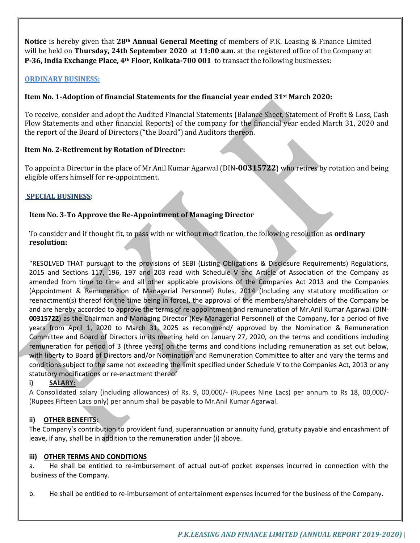**Notice** is hereby given that **28th Annual General Meeting** of members of P.K. Leasing & Finance Limited will be held on **Thursday, 24th September 2020** at **11:00 a.m.** at the registered office of the Company at **P‐36, India Exchange Place, 4th Floor, Kolkata‐700 001** to transact the following businesses:

# **ORDINARY BUSINESS:**

# **Item No. 1‐Adoption of financial Statements for the financial year ended 31st March 2020:**

To receive, consider and adopt the Audited Financial Statements (Balance Sheet, Statement of Profit & Loss, Cash Flow Statements and other financial Reports) of the company for the financial year ended March 31, 2020 and the report of the Board of Directors ("the Board") and Auditors thereon.

# **Item No. 2‐Retirement by Rotation of Director:**

To appoint a Director in the place of Mr.Anil Kumar Agarwal (DIN-**00315722**) who retires by rotation and being eligible offers himself for re-appointment.

# **SPECIAL BUSINESS:**

# **Item No. 3‐To Approve the Re‐Appointment of Managing Director**

To consider and if thought fit, to pass with or without modification, the following resolution as **ordinary resolution:**

"RESOLVED THAT pursuant to the provisions of SEBI (Listing Obligations & Disclosure Requirements) Regulations, 2015 and Sections 117, 196, 197 and 203 read with Schedule V and Article of Association of the Company as amended from time to time and all other applicable provisions of the Companies Act 2013 and the Companies (Appointment & Remuneration of Managerial Personnel) Rules, 2014 (Including any statutory modification or reenactment(s) thereof for the time being in force), the approval of the members/shareholders of the Company be and are hereby accorded to approve the terms of re‐appointment and remuneration of Mr.Anil Kumar Agarwal (DIN‐ **00315722**) as the Chairman and Managing Director (Key Managerial Personnel) of the Company, for a period of five years from April 1, 2020 to March 31, 2025 as recommend/ approved by the Nomination & Remuneration Committee and Board of Directors in its meeting held on January 27, 2020, on the terms and conditions including remuneration for period of 3 (three years) on the terms and conditions including remuneration as set out below, with liberty to Board of Directors and/or Nomination and Remuneration Committee to alter and vary the terms and conditions subject to the same not exceeding the limit specified under Schedule V to the Companies Act, 2013 or any statutory modifications or re-enactment thereof

# **i) SALARY:**

A Consolidated salary (including allowances) of Rs. 9, 00,000/‐ (Rupees Nine Lacs) per annum to Rs 18, 00,000/‐ (Rupees Fifteen Lacs only) per annum shall be payable to Mr.Anil Kumar Agarwal.

# **ii) OTHER BENEFITS**:

The Company's contribution to provident fund, superannuation or annuity fund, gratuity payable and encashment of leave, if any, shall be in addition to the remuneration under (i) above.

# **iii) OTHER TERMS AND CONDITIONS**

a. He shall be entitled to re-imbursement of actual out-of pocket expenses incurred in connection with the business of the Company.

b. He shall be entitled to re‐imbursement of entertainment expenses incurred for the business of the Company.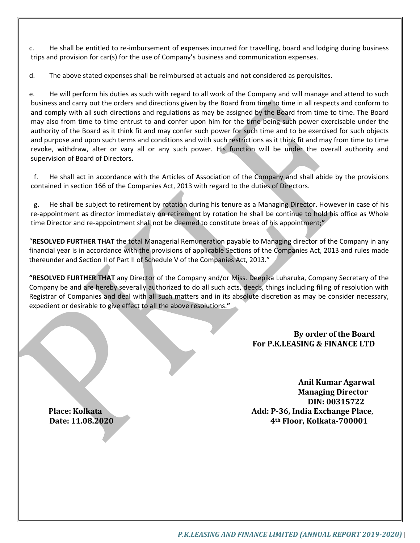c. He shall be entitled to re‐imbursement of expenses incurred for travelling, board and lodging during business trips and provision for car(s) for the use of Company's business and communication expenses.

d. The above stated expenses shall be reimbursed at actuals and not considered as perquisites.

e. He will perform his duties as such with regard to all work of the Company and will manage and attend to such business and carry out the orders and directions given by the Board from time to time in all respects and conform to and comply with all such directions and regulations as may be assigned by the Board from time to time. The Board may also from time to time entrust to and confer upon him for the time being such power exercisable under the authority of the Board as it think fit and may confer such power for such time and to be exercised for such objects and purpose and upon such terms and conditions and with such restrictions as it think fit and may from time to time revoke, withdraw, alter or vary all or any such power. His function will be under the overall authority and supervision of Board of Directors.

f. He shall act in accordance with the Articles of Association of the Company and shall abide by the provisions contained in section 166 of the Companies Act, 2013 with regard to the duties of Directors.

g. He shall be subject to retirement by rotation during his tenure as a Managing Director. However in case of his re-appointment as director immediately on retirement by rotation he shall be continue to hold his office as Whole time Director and re‐appointment shall not be deemed to constitute break of his appointment;**"**

"**RESOLVED FURTHER THAT** the total Managerial Remuneration payable to Managing director of the Company in any financial year is in accordance with the provisions of applicable Sections of the Companies Act, 2013 and rules made thereunder and Section II of Part II of Schedule V of the Companies Act, 2013."

**"RESOLVED FURTHER THAT** any Director of the Company and/or Miss. Deepika Luharuka, Company Secretary of the Company be and are hereby severally authorized to do all such acts, deeds, things including filing of resolution with Registrar of Companies and deal with all such matters and in its absolute discretion as may be consider necessary, expedient or desirable to give effect to all the above resolutions.**"**

# **By order of the Board For P.K.LEASING & FINANCE LTD**

**Anil Kumar Agarwal Managing** Director  **DIN: 00315722 Place: Kolkata Add: P‐36, India Exchange Place**, **Date: 11.08.2020 4th Floor, Kolkata‐700001**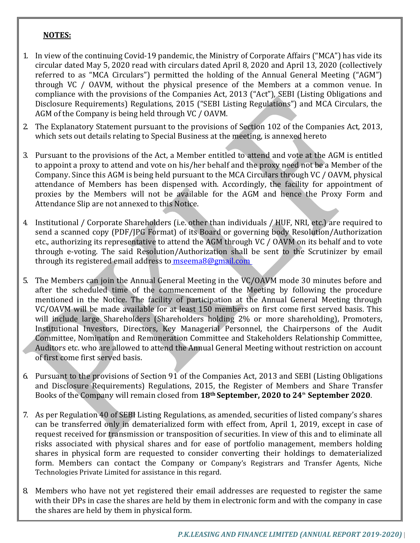# **NOTES:**

- 1. In view of the continuing Covid-19 pandemic, the Ministry of Corporate Affairs ("MCA") has vide its circular dated May 5, 2020 read with circulars dated April 8, 2020 and April 13, 2020 (collectively referred to as "MCA Circulars") permitted the holding of the Annual General Meeting ("AGM") through VC / OAVM, without the physical presence of the Members at a common venue. In compliance with the provisions of the Companies Act, 2013 ("Act"), SEBI (Listing Obligations and Disclosure Requirements) Regulations, 2015 ("SEBI Listing Regulations") and MCA Circulars, the AGM of the Company is being held through VC / OAVM.
- 2. The Explanatory Statement pursuant to the provisions of Section 102 of the Companies Act, 2013, which sets out details relating to Special Business at the meeting, is annexed hereto
- 3. Pursuant to the provisions of the Act, a Member entitled to attend and vote at the AGM is entitled to appoint a proxy to attend and vote on his/her behalf and the proxy need not be a Member of the Company. Since this AGM is being held pursuant to the MCA Circulars through VC / OAVM, physical attendance of Members has been dispensed with. Accordingly, the facility for appointment of proxies by the Members will not be available for the AGM and hence the Proxy Form and Attendance Slip are not annexed to this Notice.
- 4. Institutional / Corporate Shareholders (i.e. other than individuals / HUF, NRI, etc.) are required to send a scanned copy (PDF/JPG Format) of its Board or governing body Resolution/Authorization etc., authorizing its representative to attend the AGM through VC / OAVM on its behalf and to vote through e-voting. The said Resolution/Authorization shall be sent to the Scrutinizer by email through its registered email address to mseema8@gmail.com
- 5. The Members can join the Annual General Meeting in the VC/OAVM mode 30 minutes before and after the scheduled time of the commencement of the Meeting by following the procedure mentioned in the Notice. The facility of participation at the Annual General Meeting through VC/OAVM will be made available for at least 150 members on first come first served basis. This will include large Shareholders (Shareholders holding 2% or more shareholding), Promoters, Institutional Investors, Directors, Key Managerial Personnel, the Chairpersons of the Audit Committee, Nomination and Remuneration Committee and Stakeholders Relationship Committee, Auditors etc. who are allowed to attend the Annual General Meeting without restriction on account of first come first served basis.
- 6. Pursuant to the provisions of Section 91 of the Companies Act, 2013 and SEBI (Listing Obligations and Disclosure Requirements) Regulations, 2015, the Register of Members and Share Transfer Books of the Company will remain closed from 18<sup>th</sup> September, 2020 to 24<sup>th</sup> September 2020.
- 7. As per Regulation 40 of SEBI Listing Regulations, as amended, securities of listed company's shares can be transferred only in dematerialized form with effect from, April 1, 2019, except in case of request received for transmission or transposition of securities. In view of this and to eliminate all risks associated with physical shares and for ease of portfolio management, members holding shares in physical form are requested to consider converting their holdings to dematerialized form. Members can contact the Company or Company's Registrars and Transfer Agents, Niche Technologies Private Limited for assistance in this regard.
- 8. Members who have not yet registered their email addresses are requested to register the same with their DPs in case the shares are held by them in electronic form and with the company in case the shares are held by them in physical form.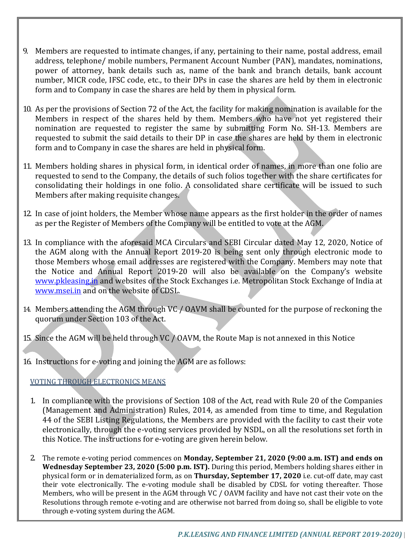- 9. Members are requested to intimate changes, if any, pertaining to their name, postal address, email address, telephone/ mobile numbers, Permanent Account Number (PAN), mandates, nominations, power of attorney, bank details such as, name of the bank and branch details, bank account number, MICR code, IFSC code, etc., to their DPs in case the shares are held by them in electronic form and to Company in case the shares are held by them in physical form.
- 10. As per the provisions of Section 72 of the Act, the facility for making nomination is available for the Members in respect of the shares held by them. Members who have not yet registered their nomination are requested to register the same by submitting Form No. SH-13. Members are requested to submit the said details to their DP in case the shares are held by them in electronic form and to Company in case the shares are held in physical form.
- 11. Members holding shares in physical form, in identical order of names, in more than one folio are requested to send to the Company, the details of such folios together with the share certificates for consolidating their holdings in one folio. A consolidated share certificate will be issued to such Members after making requisite changes.
- 12. In case of joint holders, the Member whose name appears as the first holder in the order of names as per the Register of Members of the Company will be entitled to vote at the AGM.
- 13. In compliance with the aforesaid MCA Circulars and SEBI Circular dated May 12, 2020, Notice of the AGM along with the Annual Report 2019-20 is being sent only through electronic mode to those Members whose email addresses are registered with the Company. Members may note that the Notice and Annual Report 2019-20 will also be available on the Company's website www.pkleasing.in and websites of the Stock Exchanges i.e. Metropolitan Stock Exchange of India at www.msei.in and on the website of CDSL.
- 14. Members attending the AGM through VC / OAVM shall be counted for the purpose of reckoning the quorum under Section 103 of the Act.
- 15. Since the AGM will be held through VC / OAVM, the Route Map is not annexed in this Notice

16. Instructions for e-voting and joining the AGM are as follows:

# VOTING THROUGH ELECTRONICS MEANS

- 1. In compliance with the provisions of Section 108 of the Act, read with Rule 20 of the Companies (Management and Administration) Rules, 2014, as amended from time to time, and Regulation 44 of the SEBI Listing Regulations, the Members are provided with the facility to cast their vote electronically, through the e-voting services provided by NSDL, on all the resolutions set forth in this Notice. The instructions for e-voting are given herein below.
- 2. The remote e-voting period commences on **Monday, September 21, 2020 (9:00 a.m. IST) and ends on Wednesday September 23, 2020 (5:00 p.m. IST).** During this period, Members holding shares either in physical form or in dematerialized form, as on **Thursday, September 17, 2020** i.e. cut-off date, may cast their vote electronically. The e-voting module shall be disabled by CDSL for voting thereafter. Those Members, who will be present in the AGM through VC / OAVM facility and have not cast their vote on the Resolutions through remote e-voting and are otherwise not barred from doing so, shall be eligible to vote through e-voting system during the AGM.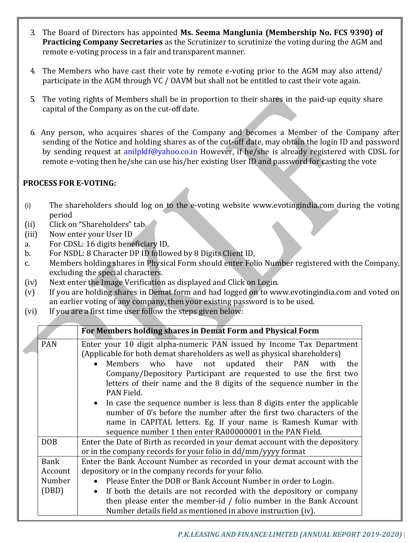- 3. The Board of Directors has appointed **Ms. Seema Manglunia (Membership No. FCS 9390) of Practicing Company Secretaries** as the Scrutinizer to scrutinize the voting during the AGM and remote e-voting process in a fair and transparent manner.
- 4. The Members who have cast their vote by remote e-voting prior to the AGM may also attend/ participate in the AGM through VC / OAVM but shall not be entitled to cast their vote again.
- 5. The voting rights of Members shall be in proportion to their shares in the paid-up equity share capital of the Company as on the cut-off date.
- 6. Any person, who acquires shares of the Company and becomes a Member of the Company after sending of the Notice and holding shares as of the cut-off date, may obtain the login ID and password by sending request at anilpklf@yahoo.co.in However, if he/she is already registered with CDSL for remote e-voting then he/she can use his/her existing User ID and password for casting the vote

# **PROCESS FOR E‐VOTING:**

- (i) The shareholders should log on to the e-voting website www.evotingindia.com during the voting period
- (ii) Click on "Shareholders" tab.
- (iii) Now enter your User ID
- a. For CDSL: 16 digits beneficiary ID,
- b. For NSDL: 8 Character DP ID followed by 8 Digits Client ID,
- c. Members holding shares in Physical Form should enter Folio Number registered with the Company, excluding the special characters.
- (iv) Next enter the Image Verification as displayed and Click on Login.
- (v) If you are holding shares in Demat form and had logged on to www.evotingindia.com and voted on an earlier voting of any company, then your existing password is to be used.
- (vi) If you are a first time user follow the steps given below:

|             | For Members holding shares in Demat Form and Physical Form                                                                                                                                                                                                                                                                                                                                                                                                                                                                                                                                                                                           |  |
|-------------|------------------------------------------------------------------------------------------------------------------------------------------------------------------------------------------------------------------------------------------------------------------------------------------------------------------------------------------------------------------------------------------------------------------------------------------------------------------------------------------------------------------------------------------------------------------------------------------------------------------------------------------------------|--|
| <b>PAN</b>  | Enter your 10 digit alpha-numeric PAN issued by Income Tax Department<br>(Applicable for both demat shareholders as well as physical shareholders)<br>Members who have not updated their PAN with the<br>Company/Depository Participant are requested to use the first two<br>letters of their name and the 8 digits of the sequence number in the<br>PAN Field.<br>• In case the sequence number is less than 8 digits enter the applicable<br>number of 0's before the number after the first two characters of the<br>name in CAPITAL letters. Eg. If your name is Ramesh Kumar with<br>sequence number 1 then enter RA00000001 in the PAN Field. |  |
| <b>DOB</b>  | Enter the Date of Birth as recorded in your demat account with the depository<br>or in the company records for your folio in dd/mm/yyyy format                                                                                                                                                                                                                                                                                                                                                                                                                                                                                                       |  |
| <b>Bank</b> | Enter the Bank Account Number as recorded in your demat account with the                                                                                                                                                                                                                                                                                                                                                                                                                                                                                                                                                                             |  |
| Account     | depository or in the company records for your folio.                                                                                                                                                                                                                                                                                                                                                                                                                                                                                                                                                                                                 |  |
| Number      | Please Enter the DOB or Bank Account Number in order to Login.                                                                                                                                                                                                                                                                                                                                                                                                                                                                                                                                                                                       |  |
| (DBD)       | • If both the details are not recorded with the depository or company<br>then please enter the member-id / folio number in the Bank Account<br>Number details field as mentioned in above instruction (iv).                                                                                                                                                                                                                                                                                                                                                                                                                                          |  |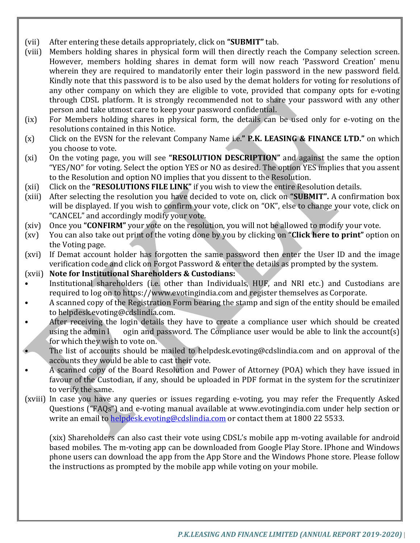- (vii) After entering these details appropriately, click on **"SUBMIT"** tab.
- (viii) Members holding shares in physical form will then directly reach the Company selection screen. However, members holding shares in demat form will now reach 'Password Creation' menu wherein they are required to mandatorily enter their login password in the new password field. Kindly note that this password is to be also used by the demat holders for voting for resolutions of any other company on which they are eligible to vote, provided that company opts for e-voting through CDSL platform. It is strongly recommended not to share your password with any other person and take utmost care to keep your password confidential.
- (ix) For Members holding shares in physical form, the details can be used only for e-voting on the resolutions contained in this Notice.
- (x) Click on the EVSN for the relevant Company Name i.e.**" P.K. LEASING & FINANCE LTD."** on which you choose to vote.
- (xi) On the voting page, you will see **"RESOLUTION DESCRIPTION"** and against the same the option "YES/NO" for voting. Select the option YES or NO as desired. The option YES implies that you assent to the Resolution and option NO implies that you dissent to the Resolution.
- (xii) Click on the **"RESOLUTIONS FILE LINK"** if you wish to view the entire Resolution details.
- (xiii) After selecting the resolution you have decided to vote on, click on **"SUBMIT".** A confirmation box will be displayed. If you wish to confirm your vote, click on "OK", else to change your vote, click on "CANCEL" and accordingly modify your vote.
- (xiv) Once you **"CONFIRM"** your vote on the resolution, you will not be allowed to modify your vote.
- (xv) You can also take out print of the voting done by you by clicking on **"Click here to print"** option on the Voting page.
- (xvi) If Demat account holder has forgotten the same password then enter the User ID and the image verification code and click on Forgot Password & enter the details as prompted by the system.
- (xvii) **Note for Institutional Shareholders & Custodians:**
- Institutional shareholders (i.e. other than Individuals, HUF, and NRI etc.) and Custodians are required to log on to https://www.evotingindia.com and register themselves as Corporate.
- A scanned copy of the Registration Form bearing the stamp and sign of the entity should be emailed to helpdesk.evoting@cdslindia.com.
- After receiving the login details they have to create a compliance user which should be created using the admin  $l$  ogin and password. The Compliance user would be able to link the account(s) for which they wish to vote on.
- The list of accounts should be mailed to helpdesk.evoting@cdslindia.com and on approval of the accounts they would be able to cast their vote.
- A scanned copy of the Board Resolution and Power of Attorney (POA) which they have issued in favour of the Custodian, if any, should be uploaded in PDF format in the system for the scrutinizer to verify the same.
- (xviii) In case you have any queries or issues regarding e-voting, you may refer the Frequently Asked Questions ("FAQs") and e-voting manual available at www.evotingindia.com under help section or write an email to helpdesk.evoting@cdslindia.com or contact them at 1800 22 5533.

(xix) Shareholders can also cast their vote using CDSL's mobile app m-voting available for android based mobiles. The m-voting app can be downloaded from Google Play Store. IPhone and Windows phone users can download the app from the App Store and the Windows Phone store. Please follow the instructions as prompted by the mobile app while voting on your mobile.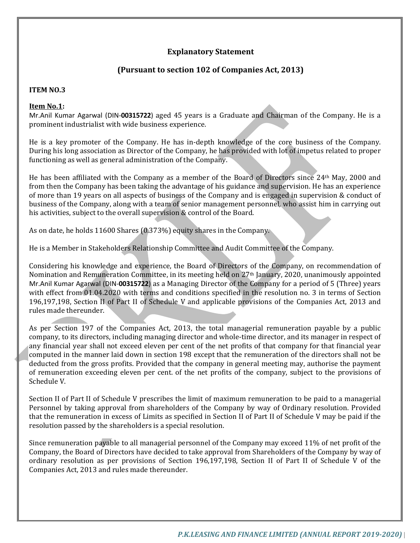# **Explanatory Statement**

# **(Pursuant to section 102 of Companies Act, 2013)**

#### **ITEM NO.3**

#### **Item No.1:**

Mr.Anil Kumar Agarwal (DIN‐**00315722**) aged 45 years is a Graduate and Chairman of the Company. He is a prominent industrialist with wide business experience.

He is a key promoter of the Company. He has in-depth knowledge of the core business of the Company. During his long association as Director of the Company, he has provided with lot of impetus related to proper functioning as well as general administration of the Company.

He has been affiliated with the Company as a member of the Board of Directors since 24th May, 2000 and from then the Company has been taking the advantage of his guidance and supervision. He has an experience of more than 19 years on all aspects of business of the Company and is engaged in supervision & conduct of business of the Company, along with a team of senior management personnel, who assist him in carrying out his activities, subject to the overall supervision & control of the Board.

As on date, he holds 11600 Shares (0.373%) equity shares in the Company.

He is a Member in Stakeholders Relationship Committee and Audit Committee of the Company.

Considering his knowledge and experience, the Board of Directors of the Company, on recommendation of Nomination and Remuneration Committee, in its meeting held on 27th January, 2020, unanimously appointed Mr.Anil Kumar Agarwal (DIN‐**00315722**) as a Managing Director of the Company for a period of 5 (Three) years with effect from 01.04.2020 with terms and conditions specified in the resolution no. 3 in terms of Section 196,197,198, Section II of Part II of Schedule V and applicable provisions of the Companies Act, 2013 and rules made thereunder.

As per Section 197 of the Companies Act, 2013, the total managerial remuneration payable by a public company, to its directors, including managing director and whole-time director, and its manager in respect of any financial year shall not exceed eleven per cent of the net profits of that company for that financial year computed in the manner laid down in section 198 except that the remuneration of the directors shall not be deducted from the gross profits. Provided that the company in general meeting may, authorise the payment of remuneration exceeding eleven per cent. of the net profits of the company, subject to the provisions of Schedule V.

Section II of Part II of Schedule V prescribes the limit of maximum remuneration to be paid to a managerial Personnel by taking approval from shareholders of the Company by way of Ordinary resolution. Provided that the remuneration in excess of Limits as specified in Section II of Part II of Schedule V may be paid if the resolution passed by the shareholders is a special resolution.

Since remuneration payable to all managerial personnel of the Company may exceed 11% of net profit of the Company, the Board of Directors have decided to take approval from Shareholders of the Company by way of ordinary resolution as per provisions of Section 196,197,198, Section II of Part II of Schedule V of the Companies Act, 2013 and rules made thereunder.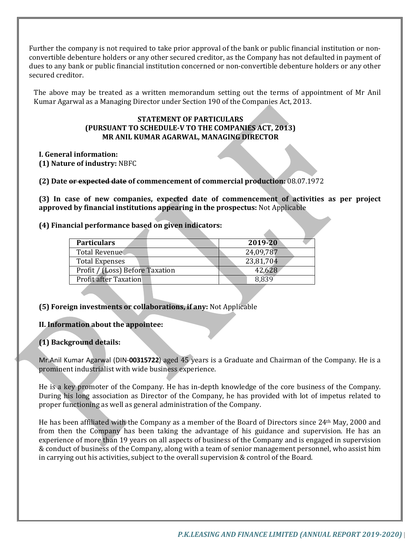Further the company is not required to take prior approval of the bank or public financial institution or nonconvertible debenture holders or any other secured creditor, as the Company has not defaulted in payment of dues to any bank or public financial institution concerned or non-convertible debenture holders or any other secured creditor.

The above may be treated as a written memorandum setting out the terms of appointment of Mr Anil Kumar Agarwal as a Managing Director under Section 190 of the Companies Act, 2013.

#### **STATEMENT OF PARTICULARS (PURSUANT TO SCHEDULE‐V TO THE COMPANIES ACT, 2013) MR ANIL KUMAR AGARWAL, MANAGING DIRECTOR**

### **I. General information:**

**(1) Nature of industry:** NBFC

**(2) Date or expected date of commencement of commercial production:** 08.07.1972

**(3) In case of new companies, expected date of commencement of activities as per project approved by financial institutions appearing in the prospectus:** Not Applicable

# **(4) Financial performance based on given indicators:**

| <b>Particulars</b>              | 2019-20   |
|---------------------------------|-----------|
| <b>Total Revenue</b>            | 24,09,787 |
| <b>Total Expenses</b>           | 23,81,704 |
| Profit / (Loss) Before Taxation | 42,628    |
| <b>Profit after Taxation</b>    | 8,839     |
|                                 |           |

# **(5) Foreign investments or collaborations, if any:** Not Applicable

# **II. Information about the appointee:**

# **(1) Background details:**

Mr.Anil Kumar Agarwal (DIN‐**00315722**) aged 45 years is a Graduate and Chairman of the Company. He is a prominent industrialist with wide business experience.

He is a key promoter of the Company. He has in-depth knowledge of the core business of the Company. During his long association as Director of the Company, he has provided with lot of impetus related to proper functioning as well as general administration of the Company.

He has been affiliated with the Company as a member of the Board of Directors since 24th May, 2000 and from then the Company has been taking the advantage of his guidance and supervision. He has an experience of more than 19 years on all aspects of business of the Company and is engaged in supervision & conduct of business of the Company, along with a team of senior management personnel, who assist him in carrying out his activities, subject to the overall supervision & control of the Board.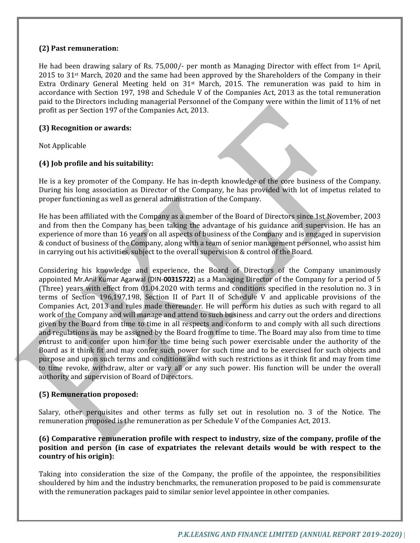#### **(2) Past remuneration:**

He had been drawing salary of Rs. 75,000/- per month as Managing Director with effect from 1st April, 2015 to 31st March, 2020 and the same had been approved by the Shareholders of the Company in their Extra Ordinary General Meeting held on  $31<sup>st</sup>$  March, 2015. The remuneration was paid to him in accordance with Section 197, 198 and Schedule V of the Companies Act, 2013 as the total remuneration paid to the Directors including managerial Personnel of the Company were within the limit of 11% of net profit as per Section 197 of the Companies Act, 2013.

## **(3) Recognition or awards:**

Not Applicable

# **(4) Job profile and his suitability:**

He is a key promoter of the Company. He has in-depth knowledge of the core business of the Company. During his long association as Director of the Company, he has provided with lot of impetus related to proper functioning as well as general administration of the Company.

He has been affiliated with the Company as a member of the Board of Directors since 1st November, 2003 and from then the Company has been taking the advantage of his guidance and supervision. He has an experience of more than 16 years on all aspects of business of the Company and is engaged in supervision & conduct of business of the Company, along with a team of senior management personnel, who assist him in carrying out his activities, subject to the overall supervision & control of the Board.

Considering his knowledge and experience, the Board of Directors of the Company unanimously appointed Mr.Anil Kumar Agarwal (DIN‐**00315722**) as a Managing Director of the Company for a period of 5 (Three) years with effect from 01.04.2020 with terms and conditions specified in the resolution no. 3 in terms of Section 196,197,198, Section II of Part II of Schedule V and applicable provisions of the Companies Act, 2013 and rules made thereunder. He will perform his duties as such with regard to all work of the Company and will manage and attend to such business and carry out the orders and directions given by the Board from time to time in all respects and conform to and comply with all such directions and regulations as may be assigned by the Board from time to time. The Board may also from time to time entrust to and confer upon him for the time being such power exercisable under the authority of the Board as it think fit and may confer such power for such time and to be exercised for such objects and purpose and upon such terms and conditions and with such restrictions as it think fit and may from time to time revoke, withdraw, alter or vary all or any such power. His function will be under the overall authority and supervision of Board of Directors.

# **(5) Remuneration proposed:**

Salary, other perquisites and other terms as fully set out in resolution no. 3 of the Notice. The remuneration proposed is the remuneration as per Schedule V of the Companies Act, 2013.

## **(6) Comparative remuneration profile with respect to industry, size of the company, profile of the position and person (in case of expatriates the relevant details would be with respect to the country of his origin):**

Taking into consideration the size of the Company, the profile of the appointee, the responsibilities shouldered by him and the industry benchmarks, the remuneration proposed to be paid is commensurate with the remuneration packages paid to similar senior level appointee in other companies.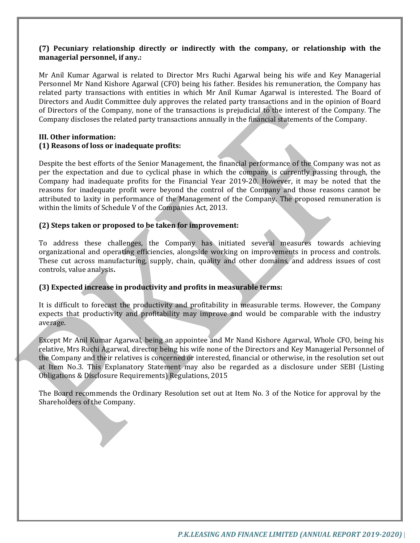### **(7) Pecuniary relationship directly or indirectly with the company, or relationship with the managerial personnel, if any.:**

Mr Anil Kumar Agarwal is related to Director Mrs Ruchi Agarwal being his wife and Key Managerial Personnel Mr Nand Kishore Agarwal (CFO) being his father. Besides his remuneration, the Company has related party transactions with entities in which Mr Anil Kumar Agarwal is interested. The Board of Directors and Audit Committee duly approves the related party transactions and in the opinion of Board of Directors of the Company, none of the transactions is prejudicial to the interest of the Company. The Company discloses the related party transactions annually in the financial statements of the Company.

#### **III. Other information:**

### **(1) Reasons of loss or inadequate profits:**

Despite the best efforts of the Senior Management, the financial performance of the Company was not as per the expectation and due to cyclical phase in which the company is currently passing through, the Company had inadequate profits for the Financial Year 2019-20. However, it may be noted that the reasons for inadequate profit were beyond the control of the Company and those reasons cannot be attributed to laxity in performance of the Management of the Company. The proposed remuneration is within the limits of Schedule V of the Companies Act, 2013.

# **(2) Steps taken or proposed to be taken for improvement:**

To address these challenges, the Company has initiated several measures towards achieving organizational and operating efficiencies, alongside working on improvements in process and controls. These cut across manufacturing, supply, chain, quality and other domains, and address issues of cost controls, value analysis**.**

# **(3) Expected increase in productivity and profits in measurable terms:**

It is difficult to forecast the productivity and profitability in measurable terms. However, the Company expects that productivity and profitability may improve and would be comparable with the industry average.

Except Mr Anil Kumar Agarwal, being an appointee and Mr Nand Kishore Agarwal, Whole CFO, being his relative, Mrs Ruchi Agarwal, director being his wife none of the Directors and Key Managerial Personnel of the Company and their relatives is concerned or interested, financial or otherwise, in the resolution set out at Item No.3. This Explanatory Statement may also be regarded as a disclosure under SEBI (Listing Obligations & Disclosure Requirements) Regulations, 2015

The Board recommends the Ordinary Resolution set out at Item No. 3 of the Notice for approval by the Shareholders of the Company.